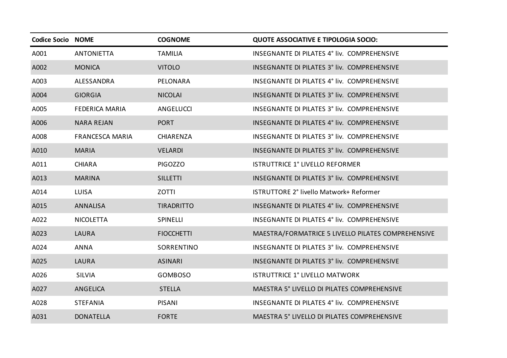| <b>Codice Socio NOME</b> |                        | <b>COGNOME</b>    | <b>QUOTE ASSOCIATIVE E TIPOLOGIA SOCIO:</b>        |
|--------------------------|------------------------|-------------------|----------------------------------------------------|
| A001                     | <b>ANTONIETTA</b>      | <b>TAMILIA</b>    | INSEGNANTE DI PILATES 4° liv. COMPREHENSIVE        |
| A002                     | <b>MONICA</b>          | <b>VITOLO</b>     | INSEGNANTE DI PILATES 3° liv. COMPREHENSIVE        |
| A003                     | ALESSANDRA             | PELONARA          | INSEGNANTE DI PILATES 4° liv. COMPREHENSIVE        |
| A004                     | <b>GIORGIA</b>         | <b>NICOLAI</b>    | INSEGNANTE DI PILATES 3° liv. COMPREHENSIVE        |
| A005                     | <b>FEDERICA MARIA</b>  | ANGELUCCI         | INSEGNANTE DI PILATES 3° liv. COMPREHENSIVE        |
| A006                     | <b>NARA REJAN</b>      | <b>PORT</b>       | INSEGNANTE DI PILATES 4° liv. COMPREHENSIVE        |
| A008                     | <b>FRANCESCA MARIA</b> | CHIARENZA         | INSEGNANTE DI PILATES 3° liv. COMPREHENSIVE        |
| A010                     | <b>MARIA</b>           | <b>VELARDI</b>    | INSEGNANTE DI PILATES 3° liv. COMPREHENSIVE        |
| A011                     | <b>CHIARA</b>          | <b>PIGOZZO</b>    | <b>ISTRUTTRICE 1° LIVELLO REFORMER</b>             |
| A013                     | <b>MARINA</b>          | <b>SILLETTI</b>   | INSEGNANTE DI PILATES 3° liv. COMPREHENSIVE        |
| A014                     | <b>LUISA</b>           | <b>ZOTTI</b>      | ISTRUTTORE 2° livello Matwork+ Reformer            |
| A015                     | <b>ANNALISA</b>        | <b>TIRADRITTO</b> | INSEGNANTE DI PILATES 4° liv. COMPREHENSIVE        |
| A022                     | <b>NICOLETTA</b>       | SPINELLI          | INSEGNANTE DI PILATES 4° liv. COMPREHENSIVE        |
| A023                     | <b>LAURA</b>           | <b>FIOCCHETTI</b> | MAESTRA/FORMATRICE 5 LIVELLO PILATES COMPREHENSIVE |
| A024                     | <b>ANNA</b>            | SORRENTINO        | INSEGNANTE DI PILATES 3° liv. COMPREHENSIVE        |
| A025                     | <b>LAURA</b>           | <b>ASINARI</b>    | INSEGNANTE DI PILATES 3° liv. COMPREHENSIVE        |
| A026                     | <b>SILVIA</b>          | <b>GOMBOSO</b>    | <b>ISTRUTTRICE 1° LIVELLO MATWORK</b>              |
| A027                     | ANGELICA               | <b>STELLA</b>     | MAESTRA 5° LIVELLO DI PILATES COMPREHENSIVE        |
| A028                     | <b>STEFANIA</b>        | <b>PISANI</b>     | INSEGNANTE DI PILATES 4° liv. COMPREHENSIVE        |
| A031                     | <b>DONATELLA</b>       | <b>FORTE</b>      | MAESTRA 5° LIVELLO DI PILATES COMPREHENSIVE        |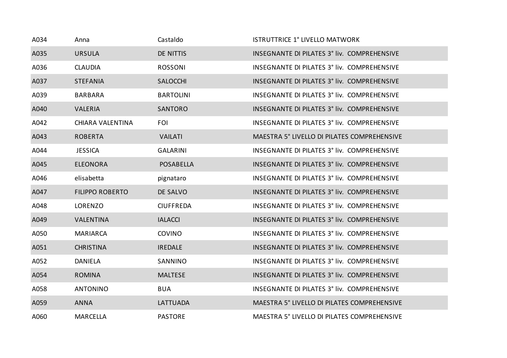| A034 | Anna                   | Castaldo         | <b>ISTRUTTRICE 1° LIVELLO MATWORK</b>       |
|------|------------------------|------------------|---------------------------------------------|
| A035 | <b>URSULA</b>          | DE NITTIS        | INSEGNANTE DI PILATES 3° liv. COMPREHENSIVE |
| A036 | <b>CLAUDIA</b>         | ROSSONI          | INSEGNANTE DI PILATES 3° liv. COMPREHENSIVE |
| A037 | <b>STEFANIA</b>        | <b>SALOCCHI</b>  | INSEGNANTE DI PILATES 3° liv. COMPREHENSIVE |
| A039 | <b>BARBARA</b>         | <b>BARTOLINI</b> | INSEGNANTE DI PILATES 3° liv. COMPREHENSIVE |
| A040 | <b>VALERIA</b>         | <b>SANTORO</b>   | INSEGNANTE DI PILATES 3° liv. COMPREHENSIVE |
| A042 | CHIARA VALENTINA       | <b>FOI</b>       | INSEGNANTE DI PILATES 3° liv. COMPREHENSIVE |
| A043 | <b>ROBERTA</b>         | <b>VAILATI</b>   | MAESTRA 5° LIVELLO DI PILATES COMPREHENSIVE |
| A044 | <b>JESSICA</b>         | <b>GALARINI</b>  | INSEGNANTE DI PILATES 3° liv. COMPREHENSIVE |
| A045 | <b>ELEONORA</b>        | <b>POSABELLA</b> | INSEGNANTE DI PILATES 3° liv. COMPREHENSIVE |
| A046 | elisabetta             | pignataro        | INSEGNANTE DI PILATES 3° liv. COMPREHENSIVE |
| A047 | <b>FILIPPO ROBERTO</b> | DE SALVO         | INSEGNANTE DI PILATES 3° liv. COMPREHENSIVE |
| A048 | LORENZO                | <b>CIUFFREDA</b> | INSEGNANTE DI PILATES 3° liv. COMPREHENSIVE |
| A049 | <b>VALENTINA</b>       | <b>IALACCI</b>   | INSEGNANTE DI PILATES 3° liv. COMPREHENSIVE |
| A050 | <b>MARIARCA</b>        | <b>COVINO</b>    | INSEGNANTE DI PILATES 3° liv. COMPREHENSIVE |
| A051 | <b>CHRISTINA</b>       | <b>IREDALE</b>   | INSEGNANTE DI PILATES 3° liv. COMPREHENSIVE |
| A052 | DANIELA                | SANNINO          | INSEGNANTE DI PILATES 3° liv. COMPREHENSIVE |
| A054 | <b>ROMINA</b>          | <b>MALTESE</b>   | INSEGNANTE DI PILATES 3° liv. COMPREHENSIVE |
| A058 | <b>ANTONINO</b>        | <b>BUA</b>       | INSEGNANTE DI PILATES 3° liv. COMPREHENSIVE |
| A059 | <b>ANNA</b>            | <b>LATTUADA</b>  | MAESTRA 5° LIVELLO DI PILATES COMPREHENSIVE |
| A060 | <b>MARCELLA</b>        | <b>PASTORE</b>   | MAESTRA 5° LIVELLO DI PILATES COMPREHENSIVE |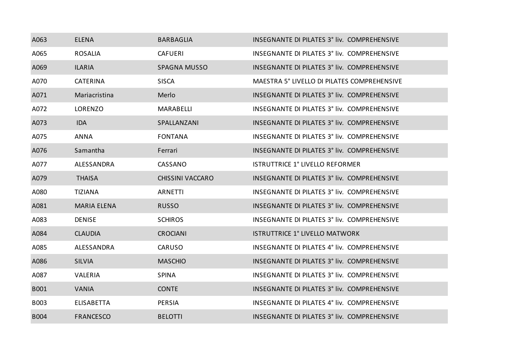| A063        | <b>ELENA</b>       | <b>BARBAGLIA</b>        | INSEGNANTE DI PILATES 3° liv. COMPREHENSIVE |
|-------------|--------------------|-------------------------|---------------------------------------------|
| A065        | <b>ROSALIA</b>     | <b>CAFUERI</b>          | INSEGNANTE DI PILATES 3° liv. COMPREHENSIVE |
| A069        | <b>ILARIA</b>      | <b>SPAGNA MUSSO</b>     | INSEGNANTE DI PILATES 3° liv. COMPREHENSIVE |
| A070        | <b>CATERINA</b>    | <b>SISCA</b>            | MAESTRA 5° LIVELLO DI PILATES COMPREHENSIVE |
| A071        | Mariacristina      | Merlo                   | INSEGNANTE DI PILATES 3° liv. COMPREHENSIVE |
| A072        | LORENZO            | <b>MARABELLI</b>        | INSEGNANTE DI PILATES 3° liv. COMPREHENSIVE |
| A073        | <b>IDA</b>         | SPALLANZANI             | INSEGNANTE DI PILATES 3° liv. COMPREHENSIVE |
| A075        | <b>ANNA</b>        | <b>FONTANA</b>          | INSEGNANTE DI PILATES 3° liv. COMPREHENSIVE |
| A076        | Samantha           | Ferrari                 | INSEGNANTE DI PILATES 3° liv. COMPREHENSIVE |
| A077        | ALESSANDRA         | CASSANO                 | ISTRUTTRICE 1° LIVELLO REFORMER             |
| A079        | <b>THAISA</b>      | <b>CHISSINI VACCARO</b> | INSEGNANTE DI PILATES 3° liv. COMPREHENSIVE |
| A080        | <b>TIZIANA</b>     | <b>ARNETTI</b>          | INSEGNANTE DI PILATES 3° liv. COMPREHENSIVE |
| A081        | <b>MARIA ELENA</b> | <b>RUSSO</b>            | INSEGNANTE DI PILATES 3° liv. COMPREHENSIVE |
| A083        | <b>DENISE</b>      | <b>SCHIROS</b>          | INSEGNANTE DI PILATES 3° liv. COMPREHENSIVE |
| A084        | <b>CLAUDIA</b>     | <b>CROCIANI</b>         | <b>ISTRUTTRICE 1° LIVELLO MATWORK</b>       |
| A085        | ALESSANDRA         | CARUSO                  | INSEGNANTE DI PILATES 4° liv. COMPREHENSIVE |
| A086        | <b>SILVIA</b>      | <b>MASCHIO</b>          | INSEGNANTE DI PILATES 3° liv. COMPREHENSIVE |
| A087        | <b>VALERIA</b>     | <b>SPINA</b>            | INSEGNANTE DI PILATES 3° liv. COMPREHENSIVE |
| <b>B001</b> | <b>VANIA</b>       | <b>CONTE</b>            | INSEGNANTE DI PILATES 3° liv. COMPREHENSIVE |
| <b>B003</b> | <b>ELISABETTA</b>  | <b>PERSIA</b>           | INSEGNANTE DI PILATES 4° liv. COMPREHENSIVE |
| <b>B004</b> | <b>FRANCESCO</b>   | <b>BELOTTI</b>          | INSEGNANTE DI PILATES 3° liv. COMPREHENSIVE |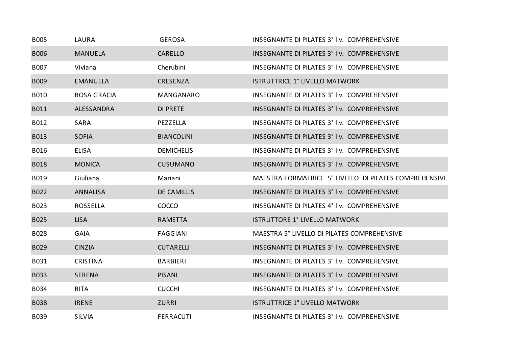| <b>B005</b> | LAURA              | <b>GEROSA</b>      | INSEGNANTE DI PILATES 3° liv. COMPREHENSIVE            |
|-------------|--------------------|--------------------|--------------------------------------------------------|
| <b>B006</b> | <b>MANUELA</b>     | <b>CARELLO</b>     | INSEGNANTE DI PILATES 3° liv. COMPREHENSIVE            |
| B007        | Viviana            | Cherubini          | INSEGNANTE DI PILATES 3° liv. COMPREHENSIVE            |
| <b>B009</b> | <b>EMANUELA</b>    | <b>CRESENZA</b>    | <b>ISTRUTTRICE 1° LIVELLO MATWORK</b>                  |
| B010        | <b>ROSA GRACIA</b> | <b>MANGANARO</b>   | INSEGNANTE DI PILATES 3° liv. COMPREHENSIVE            |
| B011        | ALESSANDRA         | <b>DI PRETE</b>    | INSEGNANTE DI PILATES 3° liv. COMPREHENSIVE            |
| B012        | SARA               | PEZZELLA           | INSEGNANTE DI PILATES 3° liv. COMPREHENSIVE            |
| B013        | <b>SOFIA</b>       | <b>BIANCOLINI</b>  | INSEGNANTE DI PILATES 3° liv. COMPREHENSIVE            |
| B016        | <b>ELISA</b>       | <b>DEMICHELIS</b>  | INSEGNANTE DI PILATES 3° liv. COMPREHENSIVE            |
| <b>B018</b> | <b>MONICA</b>      | <b>CUSUMANO</b>    | INSEGNANTE DI PILATES 3° liv. COMPREHENSIVE            |
| B019        | Giuliana           | Mariani            | MAESTRA FORMATRICE 5° LIVELLO DI PILATES COMPREHENSIVE |
| B022        | <b>ANNALISA</b>    | <b>DE CAMILLIS</b> | INSEGNANTE DI PILATES 3° liv. COMPREHENSIVE            |
| B023        | <b>ROSSELLA</b>    | COCCO              | INSEGNANTE DI PILATES 4° liv. COMPREHENSIVE            |
| B025        | <b>LISA</b>        | <b>RAMETTA</b>     | <b>ISTRUTTORE 1° LIVELLO MATWORK</b>                   |
| B028        | <b>GAIA</b>        | <b>FAGGIANI</b>    | MAESTRA 5° LIVELLO DI PILATES COMPREHENSIVE            |
| B029        | <b>CINZIA</b>      | <b>CUTARELLI</b>   | INSEGNANTE DI PILATES 3° liv. COMPREHENSIVE            |
| B031        | <b>CRISTINA</b>    | <b>BARBIERI</b>    | INSEGNANTE DI PILATES 3° liv. COMPREHENSIVE            |
| <b>B033</b> | <b>SERENA</b>      | <b>PISANI</b>      | INSEGNANTE DI PILATES 3° liv. COMPREHENSIVE            |
| B034        | <b>RITA</b>        | <b>CUCCHI</b>      | INSEGNANTE DI PILATES 3° liv. COMPREHENSIVE            |
| <b>B038</b> | <b>IRENE</b>       | <b>ZURRI</b>       | <b>ISTRUTTRICE 1° LIVELLO MATWORK</b>                  |
| B039        | <b>SILVIA</b>      | <b>FERRACUTI</b>   | INSEGNANTE DI PILATES 3° liv. COMPREHENSIVE            |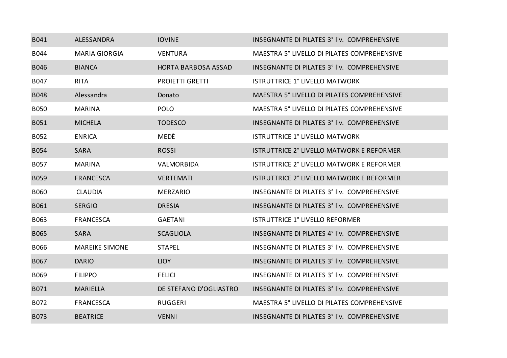| B041        | ALESSANDRA            | <b>IOVINE</b>          | INSEGNANTE DI PILATES 3° liv. COMPREHENSIVE |
|-------------|-----------------------|------------------------|---------------------------------------------|
| B044        | <b>MARIA GIORGIA</b>  | <b>VENTURA</b>         | MAESTRA 5° LIVELLO DI PILATES COMPREHENSIVE |
| <b>B046</b> | <b>BIANCA</b>         | HORTA BARBOSA ASSAD    | INSEGNANTE DI PILATES 3° liv. COMPREHENSIVE |
| B047        | <b>RITA</b>           | <b>PROIETTI GRETTI</b> | <b>ISTRUTTRICE 1° LIVELLO MATWORK</b>       |
| <b>B048</b> | Alessandra            | Donato                 | MAESTRA 5° LIVELLO DI PILATES COMPREHENSIVE |
| <b>B050</b> | <b>MARINA</b>         | <b>POLO</b>            | MAESTRA 5° LIVELLO DI PILATES COMPREHENSIVE |
| B051        | <b>MICHELA</b>        | <b>TODESCO</b>         | INSEGNANTE DI PILATES 3° liv. COMPREHENSIVE |
| B052        | <b>ENRICA</b>         | MEDÈ                   | <b>ISTRUTTRICE 1° LIVELLO MATWORK</b>       |
| <b>B054</b> | <b>SARA</b>           | <b>ROSSI</b>           | ISTRUTTRICE 2° LIVELLO MATWORK E REFORMER   |
| B057        | <b>MARINA</b>         | VALMORBIDA             | ISTRUTTRICE 2° LIVELLO MATWORK E REFORMER   |
| <b>B059</b> | <b>FRANCESCA</b>      | <b>VERTEMATI</b>       | ISTRUTTRICE 2° LIVELLO MATWORK E REFORMER   |
| <b>B060</b> | <b>CLAUDIA</b>        | <b>MERZARIO</b>        | INSEGNANTE DI PILATES 3° liv. COMPREHENSIVE |
| B061        | <b>SERGIO</b>         | <b>DRESIA</b>          | INSEGNANTE DI PILATES 3° liv. COMPREHENSIVE |
| B063        | <b>FRANCESCA</b>      | <b>GAETANI</b>         | <b>ISTRUTTRICE 1° LIVELLO REFORMER</b>      |
| <b>B065</b> | <b>SARA</b>           | <b>SCAGLIOLA</b>       | INSEGNANTE DI PILATES 4° liv. COMPREHENSIVE |
| B066        | <b>MAREIKE SIMONE</b> | <b>STAPEL</b>          | INSEGNANTE DI PILATES 3° liv. COMPREHENSIVE |
| B067        | <b>DARIO</b>          | <b>LIOY</b>            | INSEGNANTE DI PILATES 3° liv. COMPREHENSIVE |
| B069        | <b>FILIPPO</b>        | <b>FELICI</b>          | INSEGNANTE DI PILATES 3° liv. COMPREHENSIVE |
| B071        | <b>MARIELLA</b>       | DE STEFANO D'OGLIASTRO | INSEGNANTE DI PILATES 3° liv. COMPREHENSIVE |
| B072        | <b>FRANCESCA</b>      | RUGGERI                | MAESTRA 5° LIVELLO DI PILATES COMPREHENSIVE |
| B073        | <b>BEATRICE</b>       | <b>VENNI</b>           | INSEGNANTE DI PILATES 3° liv. COMPREHENSIVE |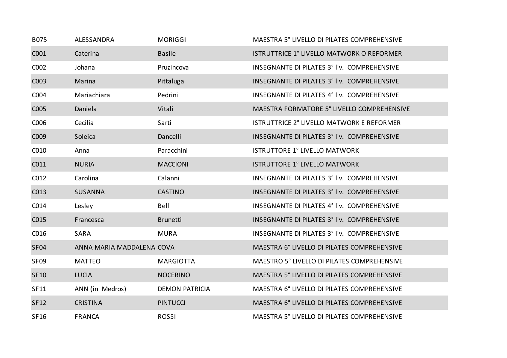| B075             | ALESSANDRA                | <b>MORIGGI</b>        | MAESTRA 5° LIVELLO DI PILATES COMPREHENSIVE      |
|------------------|---------------------------|-----------------------|--------------------------------------------------|
| C001             | Caterina                  | <b>Basile</b>         | <b>ISTRUTTRICE 1° LIVELLO MATWORK O REFORMER</b> |
| C002             | Johana                    | Pruzincova            | INSEGNANTE DI PILATES 3° liv. COMPREHENSIVE      |
| C003             | Marina                    | Pittaluga             | INSEGNANTE DI PILATES 3° liv. COMPREHENSIVE      |
| C004             | Mariachiara               | Pedrini               | INSEGNANTE DI PILATES 4° liv. COMPREHENSIVE      |
| C005             | Daniela                   | Vitali                | MAESTRA FORMATORE 5° LIVELLO COMPREHENSIVE       |
| C006             | Cecilia                   | Sarti                 | <b>ISTRUTTRICE 2° LIVELLO MATWORK E REFORMER</b> |
| C009             | Soleica                   | Dancelli              | INSEGNANTE DI PILATES 3° liv. COMPREHENSIVE      |
| C010             | Anna                      | Paracchini            | <b>ISTRUTTORE 1° LIVELLO MATWORK</b>             |
| C011             | <b>NURIA</b>              | <b>MACCIONI</b>       | <b>ISTRUTTORE 1° LIVELLO MATWORK</b>             |
| CO <sub>12</sub> | Carolina                  | Calanni               | INSEGNANTE DI PILATES 3° liv. COMPREHENSIVE      |
| C013             | <b>SUSANNA</b>            | <b>CASTINO</b>        | INSEGNANTE DI PILATES 3° liv. COMPREHENSIVE      |
| C014             | Lesley                    | Bell                  | INSEGNANTE DI PILATES 4° liv. COMPREHENSIVE      |
| C015             | Francesca                 | <b>Brunetti</b>       | INSEGNANTE DI PILATES 3° liv. COMPREHENSIVE      |
| C016             | SARA                      | <b>MURA</b>           | INSEGNANTE DI PILATES 3° liv. COMPREHENSIVE      |
| <b>SF04</b>      | ANNA MARIA MADDALENA COVA |                       | MAESTRA 6° LIVELLO DI PILATES COMPREHENSIVE      |
| SF <sub>09</sub> | <b>MATTEO</b>             | <b>MARGIOTTA</b>      | MAESTRO 5° LIVELLO DI PILATES COMPREHENSIVE      |
| <b>SF10</b>      | <b>LUCIA</b>              | <b>NOCERINO</b>       | MAESTRA 5° LIVELLO DI PILATES COMPREHENSIVE      |
| <b>SF11</b>      | ANN (in Medros)           | <b>DEMON PATRICIA</b> | MAESTRA 6° LIVELLO DI PILATES COMPREHENSIVE      |
| <b>SF12</b>      | <b>CRISTINA</b>           | <b>PINTUCCI</b>       | MAESTRA 6° LIVELLO DI PILATES COMPREHENSIVE      |
| <b>SF16</b>      | <b>FRANCA</b>             | <b>ROSSI</b>          | MAESTRA 5° LIVELLO DI PILATES COMPREHENSIVE      |